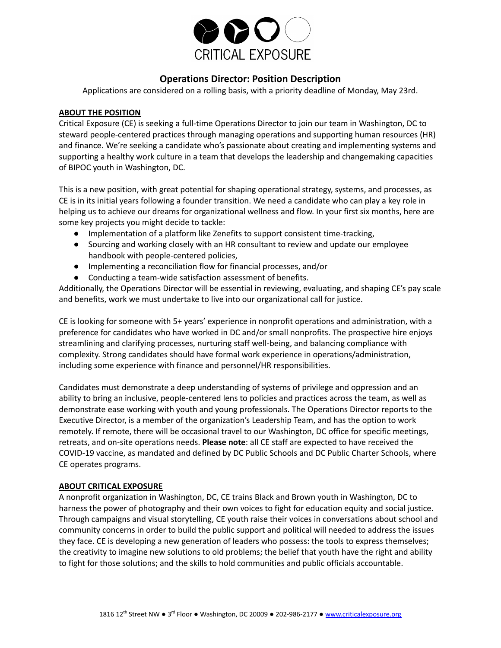

# **Operations Director: Position Description**

Applications are considered on a rolling basis, with a priority deadline of Monday, May 23rd.

#### **ABOUT THE POSITION**

Critical Exposure (CE) is seeking a full-time Operations Director to join our team in Washington, DC to steward people-centered practices through managing operations and supporting human resources (HR) and finance. We're seeking a candidate who's passionate about creating and implementing systems and supporting a healthy work culture in a team that develops the leadership and changemaking capacities of BIPOC youth in Washington, DC.

This is a new position, with great potential for shaping operational strategy, systems, and processes, as CE is in its initial years following a founder transition. We need a candidate who can play a key role in helping us to achieve our dreams for organizational wellness and flow. In your first six months, here are some key projects you might decide to tackle:

- Implementation of a platform like Zenefits to support consistent time-tracking,
- Sourcing and working closely with an HR consultant to review and update our employee handbook with people-centered policies,
- Implementing a reconciliation flow for financial processes, and/or
- Conducting a team-wide satisfaction assessment of benefits.

Additionally, the Operations Director will be essential in reviewing, evaluating, and shaping CE's pay scale and benefits, work we must undertake to live into our organizational call for justice.

CE is looking for someone with 5+ years' experience in nonprofit operations and administration, with a preference for candidates who have worked in DC and/or small nonprofits. The prospective hire enjoys streamlining and clarifying processes, nurturing staff well-being, and balancing compliance with complexity. Strong candidates should have formal work experience in operations/administration, including some experience with finance and personnel/HR responsibilities.

Candidates must demonstrate a deep understanding of systems of privilege and oppression and an ability to bring an inclusive, people-centered lens to policies and practices across the team, as well as demonstrate ease working with youth and young professionals. The Operations Director reports to the Executive Director, is a member of the organization's Leadership Team, and has the option to work remotely. If remote, there will be occasional travel to our Washington, DC office for specific meetings, retreats, and on-site operations needs. **Please note**: all CE staff are expected to have received the COVID-19 vaccine, as mandated and defined by DC Public Schools and DC Public Charter Schools, where CE operates programs.

#### **ABOUT CRITICAL EXPOSURE**

A nonprofit organization in Washington, DC, CE trains Black and Brown youth in Washington, DC to harness the power of photography and their own voices to fight for education equity and social justice. Through campaigns and visual storytelling, CE youth raise their voices in conversations about school and community concerns in order to build the public support and political will needed to address the issues they face. CE is developing a new generation of leaders who possess: the tools to express themselves; the creativity to imagine new solutions to old problems; the belief that youth have the right and ability to fight for those solutions; and the skills to hold communities and public officials accountable.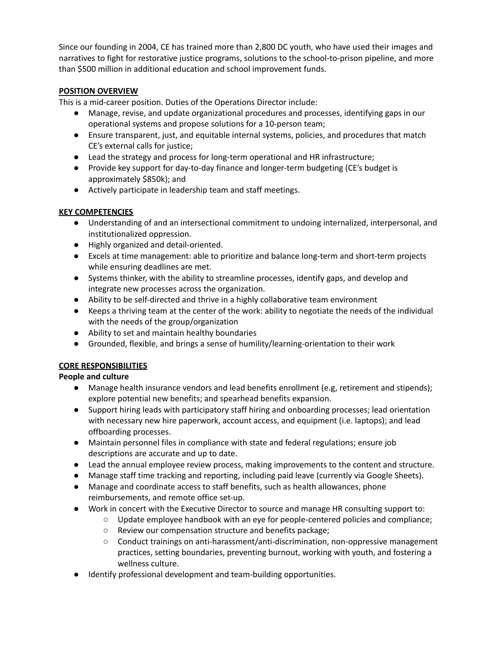Since our founding in 2004, CE has trained more than 2,800 DC youth, who have used their images and narratives to fight for restorative justice programs, solutions to the school-to-prison pipeline, and more than \$500 million in additional education and school improvement funds.

### **POSITION OVERVIEW**

This is a mid-career position. Duties of the Operations Director include:

- Manage, revise, and update organizational procedures and processes, identifying gaps in our operational systems and propose solutions for a 10-person team;
- Ensure transparent, just, and equitable internal systems, policies, and procedures that match CE's external calls for justice;
- Lead the strategy and process for long-term operational and HR infrastructure;
- Provide key support for day-to-day finance and longer-term budgeting (CE's budget is approximately \$850k); and
- Actively participate in leadership team and staff meetings.

#### **KEY COMPETENCIES**

- Understanding of and an intersectional commitment to undoing internalized, interpersonal, and institutionalized oppression.
- Highly organized and detail-oriented.
- Excels at time management: able to prioritize and balance long-term and short-term projects while ensuring deadlines are met.
- Systems thinker, with the ability to streamline processes, identify gaps, and develop and integrate new processes across the organization.
- Ability to be self-directed and thrive in a highly collaborative team environment
- Keeps a thriving team at the center of the work: ability to negotiate the needs of the individual with the needs of the group/organization
- Ability to set and maintain healthy boundaries
- Grounded, flexible, and brings a sense of humility/learning-orientation to their work

#### **CORE RESPONSIBILITIES**

#### **People and culture**

- Manage health insurance vendors and lead benefits enrollment (e.g, retirement and stipends); explore potential new benefits; and spearhead benefits expansion.
- Support hiring leads with participatory staff hiring and onboarding processes; lead orientation with necessary new hire paperwork, account access, and equipment (i.e. laptops); and lead offboarding processes.
- Maintain personnel files in compliance with state and federal regulations; ensure job descriptions are accurate and up to date.
- Lead the annual employee review process, making improvements to the content and structure.
- Manage staff time tracking and reporting, including paid leave (currently via Google Sheets).
- Manage and coordinate access to staff benefits, such as health allowances, phone reimbursements, and remote office set-up.
- Work in concert with the Executive Director to source and manage HR consulting support to:
	- Update employee handbook with an eye for people-centered policies and compliance;
	- Review our compensation structure and benefits package;
	- Conduct trainings on anti-harassment/anti-discrimination, non-oppressive management practices, setting boundaries, preventing burnout, working with youth, and fostering a wellness culture.
- Identify professional development and team-building opportunities.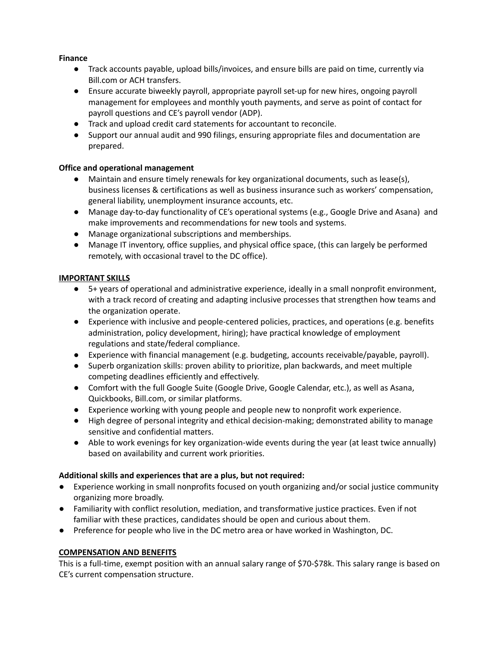#### **Finance**

- Track accounts payable, upload bills/invoices, and ensure bills are paid on time, currently via Bill.com or ACH transfers.
- Ensure accurate biweekly payroll, appropriate payroll set-up for new hires, ongoing payroll management for employees and monthly youth payments, and serve as point of contact for payroll questions and CE's payroll vendor (ADP).
- Track and upload credit card statements for accountant to reconcile.
- Support our annual audit and 990 filings, ensuring appropriate files and documentation are prepared.

# **Office and operational management**

- Maintain and ensure timely renewals for key organizational documents, such as lease(s), business licenses & certifications as well as business insurance such as workers' compensation, general liability, unemployment insurance accounts, etc.
- Manage day-to-day functionality of CE's operational systems (e.g., Google Drive and Asana) and make improvements and recommendations for new tools and systems.
- Manage organizational subscriptions and memberships.
- Manage IT inventory, office supplies, and physical office space, (this can largely be performed remotely, with occasional travel to the DC office).

### **IMPORTANT SKILLS**

- 5+ years of operational and administrative experience, ideally in a small nonprofit environment, with a track record of creating and adapting inclusive processes that strengthen how teams and the organization operate.
- Experience with inclusive and people-centered policies, practices, and operations (e.g. benefits administration, policy development, hiring); have practical knowledge of employment regulations and state/federal compliance.
- Experience with financial management (e.g. budgeting, accounts receivable/payable, payroll).
- Superb organization skills: proven ability to prioritize, plan backwards, and meet multiple competing deadlines efficiently and effectively.
- Comfort with the full Google Suite (Google Drive, Google Calendar, etc.), as well as Asana, Quickbooks, Bill.com, or similar platforms.
- Experience working with young people and people new to nonprofit work experience.
- High degree of personal integrity and ethical decision-making; demonstrated ability to manage sensitive and confidential matters.
- Able to work evenings for key organization-wide events during the year (at least twice annually) based on availability and current work priorities.

# **Additional skills and experiences that are a plus, but not required:**

- Experience working in small nonprofits focused on youth organizing and/or social justice community organizing more broadly.
- Familiarity with conflict resolution, mediation, and transformative justice practices. Even if not familiar with these practices, candidates should be open and curious about them.
- Preference for people who live in the DC metro area or have worked in Washington, DC.

#### **COMPENSATION AND BENEFITS**

This is a full-time, exempt position with an annual salary range of \$70-\$78k. This salary range is based on CE's current compensation structure.